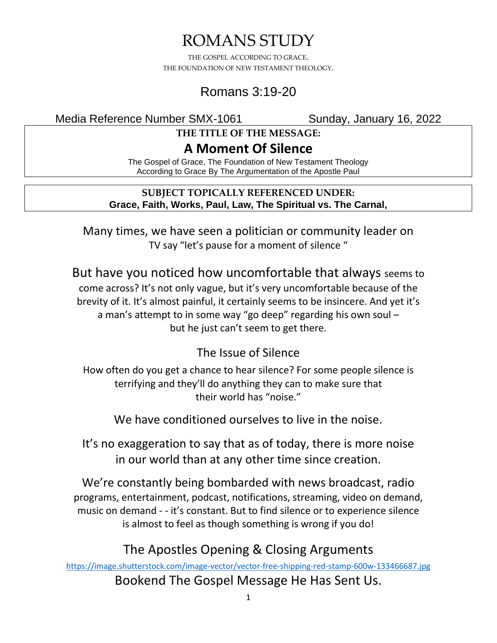# ROMANS STUDY

THE GOSPEL ACCORDING TO GRACE. THE FOUNDATION OF NEW TESTAMENT THEOLOGY.

## Romans 3:19-20

Media Reference Number SMX-1061 Sunday, January 16, 2022

**THE TITLE OF THE MESSAGE:**

## **A Moment Of Silence**

The Gospel of Grace, The Foundation of New Testament Theology According to Grace By The Argumentation of the Apostle Paul

#### **SUBJECT TOPICALLY REFERENCED UNDER: Grace, Faith, Works, Paul, Law, The Spiritual vs. The Carnal,**

Many times, we have seen a politician or community leader on TV say "let's pause for a moment of silence "

But have you noticed how uncomfortable that always seems to come across? It's not only vague, but it's very uncomfortable because of the brevity of it. It's almost painful, it certainly seems to be insincere. And yet it's a man's attempt to in some way "go deep" regarding his own soul – but he just can't seem to get there.

## The Issue of Silence

How often do you get a chance to hear silence? For some people silence is terrifying and they'll do anything they can to make sure that their world has "noise."

We have conditioned ourselves to live in the noise.

It's no exaggeration to say that as of today, there is more noise in our world than at any other time since creation.

We're constantly being bombarded with news broadcast, radio programs, entertainment, podcast, notifications, streaming, video on demand, music on demand - - it's constant. But to find silence or to experience silence is almost to feel as though something is wrong if you do!

## The Apostles Opening & Closing Arguments

<https://image.shutterstock.com/image-vector/vector-free-shipping-red-stamp-600w-133466687.jpg> Bookend The Gospel Message He Has Sent Us.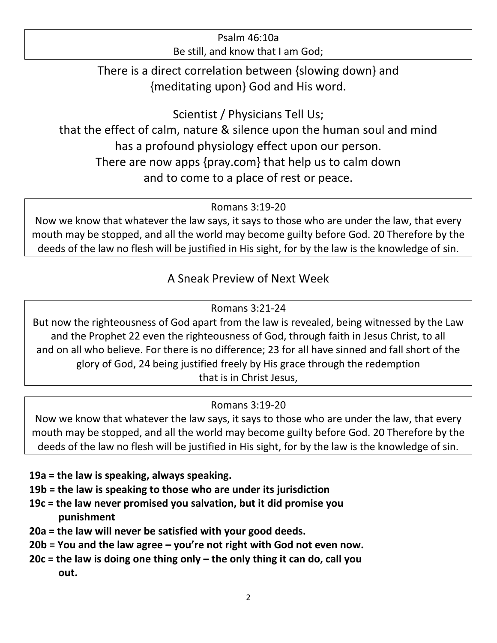#### Psalm 46:10a Be still, and know that I am God;

There is a direct correlation between {slowing down} and {meditating upon} God and His word.

Scientist / Physicians Tell Us;

that the effect of calm, nature & silence upon the human soul and mind has a profound physiology effect upon our person. There are now apps {pray.com} that help us to calm down and to come to a place of rest or peace.

Romans 3:19-20

Now we know that whatever the law says, it says to those who are under the law, that every mouth may be stopped, and all the world may become guilty before God. 20 Therefore by the deeds of the law no flesh will be justified in His sight, for by the law is the knowledge of sin.

### A Sneak Preview of Next Week

#### Romans 3:21-24

But now the righteousness of God apart from the law is revealed, being witnessed by the Law and the Prophet 22 even the righteousness of God, through faith in Jesus Christ, to all and on all who believe. For there is no difference; 23 for all have sinned and fall short of the glory of God, 24 being justified freely by His grace through the redemption that is in Christ Jesus,

### Romans 3:19-20

Now we know that whatever the law says, it says to those who are under the law, that every mouth may be stopped, and all the world may become guilty before God. 20 Therefore by the deeds of the law no flesh will be justified in His sight, for by the law is the knowledge of sin.

#### **19a = the law is speaking, always speaking.**

- **19b = the law is speaking to those who are under its jurisdiction**
- **19c = the law never promised you salvation, but it did promise you punishment**
- **20a = the law will never be satisfied with your good deeds.**
- **20b = You and the law agree – you're not right with God not even now.**
- **20c = the law is doing one thing only – the only thing it can do, call you out.**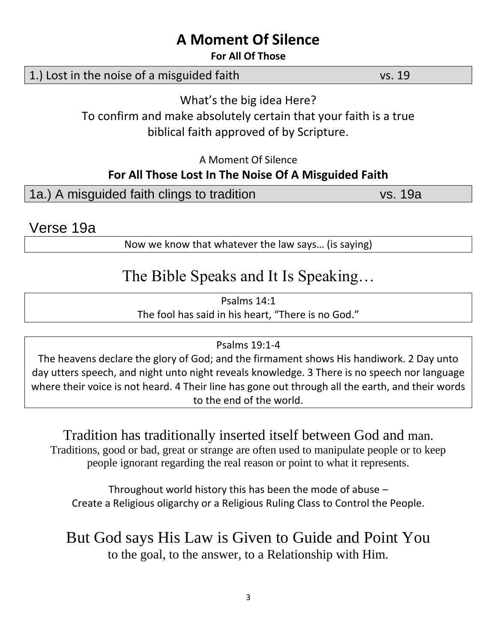## **A Moment Of Silence**

#### **For All Of Those**

### 1.) Lost in the noise of a misguided faith vs. 19

What's the big idea Here?

To confirm and make absolutely certain that your faith is a true biblical faith approved of by Scripture.

A Moment Of Silence

## **For All Those Lost In The Noise Of A Misguided Faith**

|  | 1a.) A misguided faith clings to tradition | vs. 19a |
|--|--------------------------------------------|---------|
|  |                                            |         |

Verse 19a

Now we know that whatever the law says… (is saying)

# The Bible Speaks and It Is Speaking…

Psalms 14:1 The fool has said in his heart, "There is no God."

#### Psalms 19:1-4

The heavens declare the glory of God; and the firmament shows His handiwork. 2 Day unto day utters speech, and night unto night reveals knowledge. 3 There is no speech nor language where their voice is not heard. 4 Their line has gone out through all the earth, and their words to the end of the world.

Tradition has traditionally inserted itself between God and man. Traditions, good or bad, great or strange are often used to manipulate people or to keep people ignorant regarding the real reason or point to what it represents.

Throughout world history this has been the mode of abuse – Create a Religious oligarchy or a Religious Ruling Class to Control the People.

But God says His Law is Given to Guide and Point You to the goal, to the answer, to a Relationship with Him.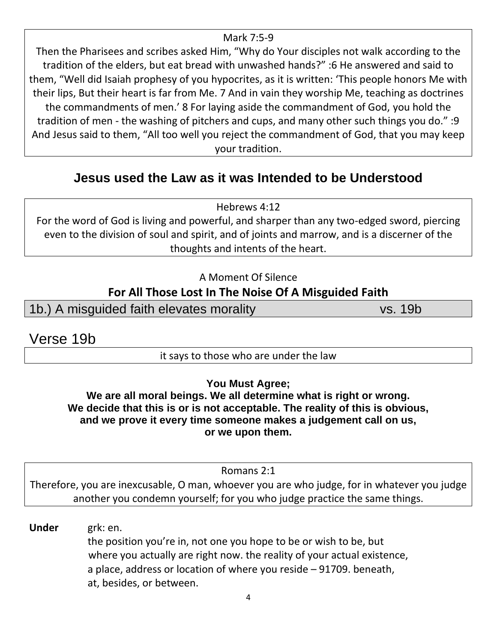#### Mark 7:5-9

Then the Pharisees and scribes asked Him, "Why do Your disciples not walk according to the tradition of the elders, but eat bread with unwashed hands?" :6 He answered and said to them, "Well did Isaiah prophesy of you hypocrites, as it is written: 'This people honors Me with their lips, But their heart is far from Me. 7 And in vain they worship Me, teaching as doctrines the commandments of men.' 8 For laying aside the commandment of God, you hold the tradition of men - the washing of pitchers and cups, and many other such things you do." :9 And Jesus said to them, "All too well you reject the commandment of God, that you may keep your tradition.

## **Jesus used the Law as it was Intended to be Understood**

Hebrews 4:12

For the word of God is living and powerful, and sharper than any two-edged sword, piercing even to the division of soul and spirit, and of joints and marrow, and is a discerner of the thoughts and intents of the heart.

#### A Moment Of Silence

### **For All Those Lost In The Noise Of A Misguided Faith**

1b.) A misguided faith elevates morality vs. 19b

Verse 19b

it says to those who are under the law

**You Must Agree;**

**We are all moral beings. We all determine what is right or wrong. We decide that this is or is not acceptable. The reality of this is obvious, and we prove it every time someone makes a judgement call on us, or we upon them.**

Romans 2:1

Therefore, you are inexcusable, O man, whoever you are who judge, for in whatever you judge another you condemn yourself; for you who judge practice the same things.

**Under** grk: en. the position you're in, not one you hope to be or wish to be, but where you actually are right now. the reality of your actual existence, a place, address or location of where you reside – 91709. beneath, at, besides, or between.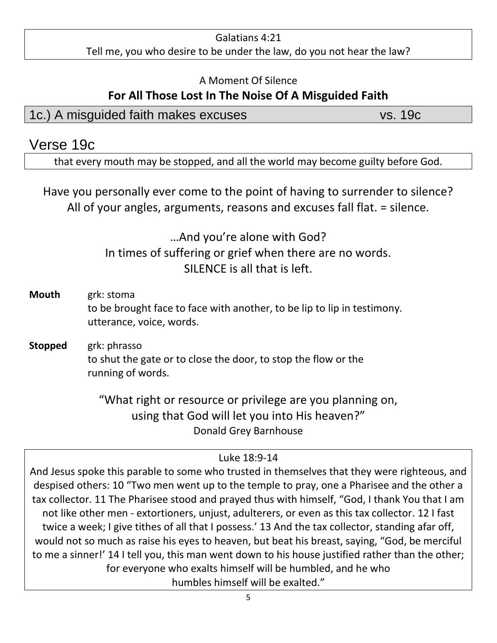#### Galatians 4:21 Tell me, you who desire to be under the law, do you not hear the law?

#### A Moment Of Silence

## **For All Those Lost In The Noise Of A Misguided Faith**

## 1c.) A misguided faith makes excuses vs. 19c

## Verse 19c

that every mouth may be stopped, and all the world may become guilty before God.

Have you personally ever come to the point of having to surrender to silence? All of your angles, arguments, reasons and excuses fall flat. = silence.

## …And you're alone with God? In times of suffering or grief when there are no words. SILENCE is all that is left.

- **Mouth** grk: stoma to be brought face to face with another, to be lip to lip in testimony. utterance, voice, words.
- **Stopped** grk: phrasso to shut the gate or to close the door, to stop the flow or the running of words.

"What right or resource or privilege are you planning on, using that God will let you into His heaven?" Donald Grey Barnhouse

## Luke 18:9-14

And Jesus spoke this parable to some who trusted in themselves that they were righteous, and despised others: 10 "Two men went up to the temple to pray, one a Pharisee and the other a tax collector. 11 The Pharisee stood and prayed thus with himself, "God, I thank You that I am not like other men - extortioners, unjust, adulterers, or even as this tax collector. 12 I fast twice a week; I give tithes of all that I possess.' 13 And the tax collector, standing afar off, would not so much as raise his eyes to heaven, but beat his breast, saying, "God, be merciful to me a sinner!' 14 I tell you, this man went down to his house justified rather than the other; for everyone who exalts himself will be humbled, and he who humbles himself will be exalted."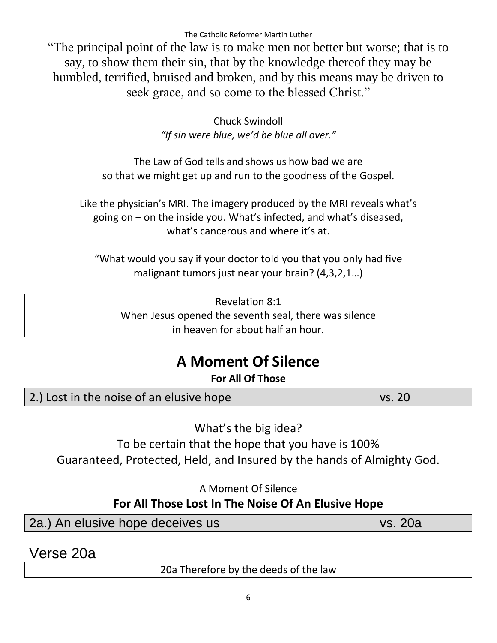"The principal point of the law is to make men not better but worse; that is to say, to show them their sin, that by the knowledge thereof they may be humbled, terrified, bruised and broken, and by this means may be driven to seek grace, and so come to the blessed Christ."

> Chuck Swindoll *"If sin were blue, we'd be blue all over."*

The Law of God tells and shows us how bad we are so that we might get up and run to the goodness of the Gospel.

Like the physician's MRI. The imagery produced by the MRI reveals what's going on – on the inside you. What's infected, and what's diseased, what's cancerous and where it's at.

"What would you say if your doctor told you that you only had five malignant tumors just near your brain? (4,3,2,1…)

Revelation 8:1 When Jesus opened the seventh seal, there was silence in heaven for about half an hour.

# **A Moment Of Silence**

**For All Of Those**

2.) Lost in the noise of an elusive hope vs. 20

What's the big idea?

To be certain that the hope that you have is 100%

Guaranteed, Protected, Held, and Insured by the hands of Almighty God.

A Moment Of Silence

## **For All Those Lost In The Noise Of An Elusive Hope**

2a.) An elusive hope deceives us vs. 20a

Verse 20a

20a Therefore by the deeds of the law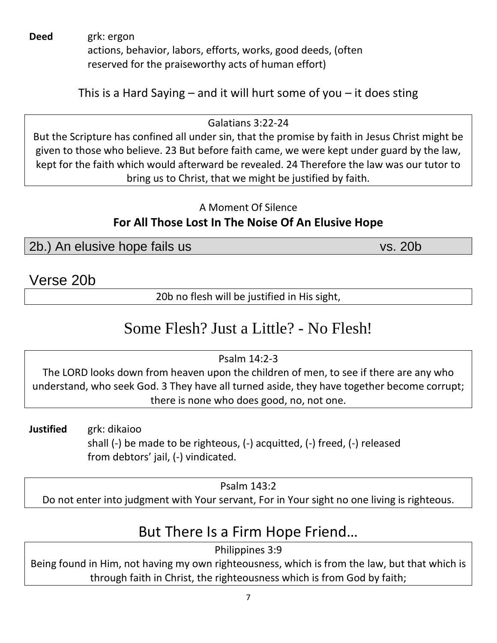**Deed** grk: ergon

actions, behavior, labors, efforts, works, good deeds, (often reserved for the praiseworthy acts of human effort)

This is a Hard Saying – and it will hurt some of you – it does sting

Galatians 3:22-24 But the Scripture has confined all under sin, that the promise by faith in Jesus Christ might be given to those who believe. 23 But before faith came, we were kept under guard by the law, kept for the faith which would afterward be revealed. 24 Therefore the law was our tutor to bring us to Christ, that we might be justified by faith.

### A Moment Of Silence **For All Those Lost In The Noise Of An Elusive Hope**

2b.) An elusive hope fails us vs. 20b

Verse 20b

20b no flesh will be justified in His sight,

# Some Flesh? Just a Little? - No Flesh!

Psalm 14:2-3

The LORD looks down from heaven upon the children of men, to see if there are any who understand, who seek God. 3 They have all turned aside, they have together become corrupt; there is none who does good, no, not one.

**Justified** grk: dikaioo shall (-) be made to be righteous, (-) acquitted, (-) freed, (-) released from debtors' jail, (-) vindicated.

Psalm 143:2

Do not enter into judgment with Your servant, For in Your sight no one living is righteous.

# But There Is a Firm Hope Friend…

Philippines 3:9

Being found in Him, not having my own righteousness, which is from the law, but that which is through faith in Christ, the righteousness which is from God by faith;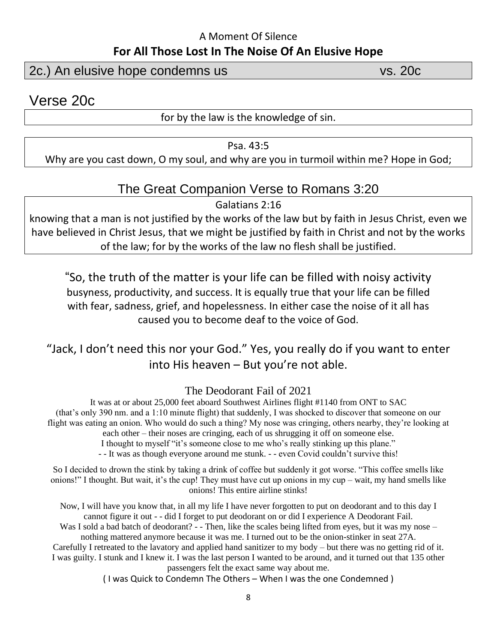#### A Moment Of Silence **For All Those Lost In The Noise Of An Elusive Hope**

2c.) An elusive hope condemns us vs. 20c

Verse 20c

for by the law is the knowledge of sin.

Psa. 43:5

Why are you cast down, O my soul, and why are you in turmoil within me? Hope in God;

### The Great Companion Verse to Romans 3:20

Galatians 2:16

knowing that a man is not justified by the works of the law but by faith in Jesus Christ, even we have believed in Christ Jesus, that we might be justified by faith in Christ and not by the works of the law; for by the works of the law no flesh shall be justified.

"So, the truth of the matter is your life can be filled with noisy activity busyness, productivity, and success. It is equally true that your life can be filled with fear, sadness, grief, and hopelessness. In either case the noise of it all has caused you to become deaf to the voice of God.

## "Jack, I don't need this nor your God." Yes, you really do if you want to enter into His heaven – But you're not able.

The Deodorant Fail of 2021

It was at or about 25,000 feet aboard Southwest Airlines flight #1140 from ONT to SAC (that's only 390 nm. and a 1:10 minute flight) that suddenly, I was shocked to discover that someone on our flight was eating an onion. Who would do such a thing? My nose was cringing, others nearby, they're looking at each other – their noses are cringing, each of us shrugging it off on someone else. I thought to myself "it's someone close to me who's really stinking up this plane."

- - It was as though everyone around me stunk. - - even Covid couldn't survive this!

So I decided to drown the stink by taking a drink of coffee but suddenly it got worse. "This coffee smells like onions!" I thought. But wait, it's the cup! They must have cut up onions in my  $cup -$  wait, my hand smells like

onions! This entire airline stinks! Now, I will have you know that, in all my life I have never forgotten to put on deodorant and to this day I

cannot figure it out - - did I forget to put deodorant on or did I experience A Deodorant Fail. Was I sold a bad batch of deodorant? - - Then, like the scales being lifted from eyes, but it was my nose – nothing mattered anymore because it was me. I turned out to be the onion-stinker in seat 27A.

Carefully I retreated to the lavatory and applied hand sanitizer to my body – but there was no getting rid of it. I was guilty. I stunk and I knew it. I was the last person I wanted to be around, and it turned out that 135 other passengers felt the exact same way about me.

( I was Quick to Condemn The Others – When I was the one Condemned )